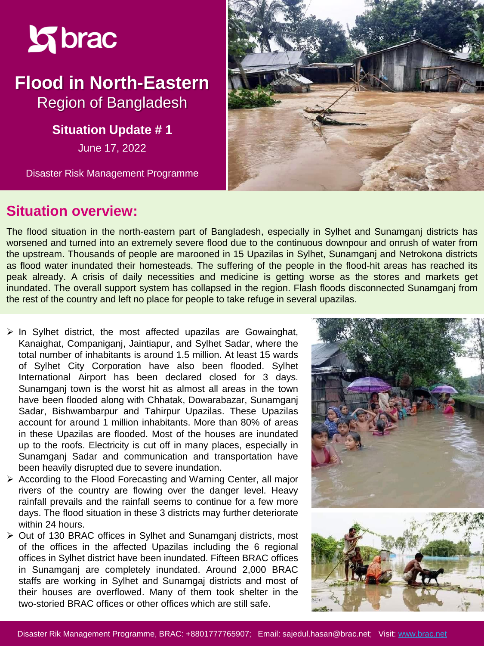

# **Flood in North-Eastern**  Region of Bangladesh

**Situation Update #1** 

June 17, 2022

Disaster Risk Management Programme



#### **Situation overview:**

The flood situation in the north-eastern part of Bangladesh, especially in Sylhet and Sunamganj districts has worsened and turned into an extremely severe flood due to the continuous downpour and onrush of water from the upstream. Thousands of people are marooned in 15 Upazilas in Sylhet, Sunamganj and Netrokona districts as flood water inundated their homesteads. The suffering of the people in the flood-hit areas has reached its peak already. A crisis of daily necessities and medicine is getting worse as the stores and markets get inundated. The overall support system has collapsed in the region. Flash floods disconnected Sunamganj from the rest of the country and left no place for people to take refuge in several upazilas.

- $\triangleright$  In Sylhet district, the most affected upazilas are Gowainghat, Kanaighat, Companiganj, Jaintiapur, and Sylhet Sadar, where the total number of inhabitants is around 1.5 million. At least 15 wards of Sylhet City Corporation have also been flooded. Sylhet International Airport has been declared closed for 3 days. Sunamganj town is the worst hit as almost all areas in the town have been flooded along with Chhatak, Dowarabazar, Sunamganj Sadar, Bishwambarpur and Tahirpur Upazilas. These Upazilas account for around 1 million inhabitants. More than 80% of areas in these Upazilas are flooded. Most of the houses are inundated up to the roofs. Electricity is cut off in many places, especially in Sunamganj Sadar and communication and transportation have been heavily disrupted due to severe inundation.
- ➢ According to the Flood Forecasting and Warning Center, all major rivers of the country are flowing over the danger level. Heavy rainfall prevails and the rainfall seems to continue for a few more days. The flood situation in these 3 districts may further deteriorate within 24 hours.
- ➢ Out of 130 BRAC offices in Sylhet and Sunamganj districts, most of the offices in the affected Upazilas including the 6 regional offices in Sylhet district have been inundated. Fifteen BRAC offices in Sunamganj are completely inundated. Around 2,000 BRAC staffs are working in Sylhet and Sunamgaj districts and most of their houses are overflowed. Many of them took shelter in the two-storied BRAC offices or other offices which are still safe.